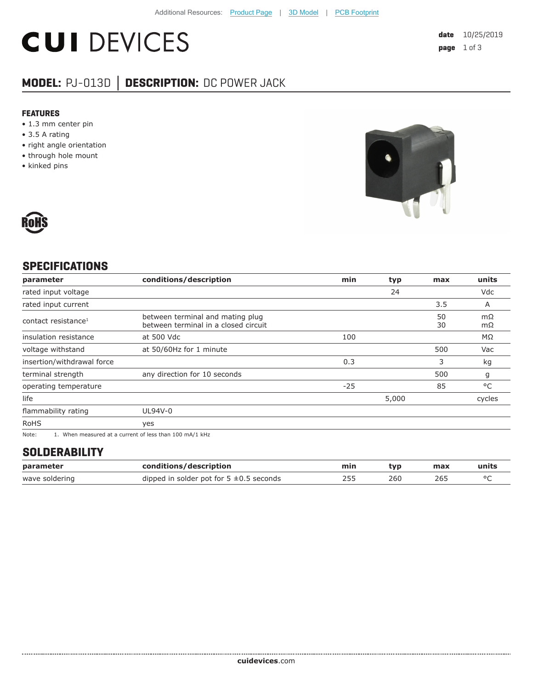# **CUI DEVICES**

### **MODEL:** PJ-013D **│ DESCRIPTION:** DC POWER JACK

#### **FEATURES**

- 1.3 mm center pin
- 3.5 A rating
- right angle orientation
- through hole mount
- kinked pins





#### **SPECIFICATIONS**

| parameter                                                                                                                                                                                                                                                               | conditions/description                                                   | min   | typ   | max      | units    |
|-------------------------------------------------------------------------------------------------------------------------------------------------------------------------------------------------------------------------------------------------------------------------|--------------------------------------------------------------------------|-------|-------|----------|----------|
| rated input voltage                                                                                                                                                                                                                                                     |                                                                          |       | 24    |          | Vdc      |
| rated input current                                                                                                                                                                                                                                                     |                                                                          |       |       | 3.5      | A        |
| contact resistance <sup>1</sup>                                                                                                                                                                                                                                         | between terminal and mating plug<br>between terminal in a closed circuit |       |       | 50<br>30 | mΩ<br>mΩ |
| insulation resistance                                                                                                                                                                                                                                                   | at 500 Vdc                                                               | 100   |       |          | MΩ       |
| voltage withstand                                                                                                                                                                                                                                                       | at 50/60Hz for 1 minute                                                  |       |       | 500      | Vac      |
| insertion/withdrawal force                                                                                                                                                                                                                                              |                                                                          | 0.3   |       | 3        | kg       |
| terminal strength                                                                                                                                                                                                                                                       | any direction for 10 seconds                                             |       |       | 500      | g        |
| operating temperature                                                                                                                                                                                                                                                   |                                                                          | $-25$ |       | 85       | °C       |
| life                                                                                                                                                                                                                                                                    |                                                                          |       | 5,000 |          | cycles   |
| flammability rating                                                                                                                                                                                                                                                     | UL94V-0                                                                  |       |       |          |          |
| <b>RoHS</b>                                                                                                                                                                                                                                                             | yes                                                                      |       |       |          |          |
| $\mathbf{a}$ , and the contract of the contract of the contract of the contract of the contract of the contract of the contract of the contract of the contract of the contract of the contract of the contract of the contract o<br>$\sim$ $\sim$ $\sim$ $\sim$ $\sim$ |                                                                          |       |       |          |          |

Note: 1. When measured at a current of less than 100 mA/1 kHz

#### **SOLDERABILITY**

| parameter      | conditions/description                       | min | tvp | max | units |
|----------------|----------------------------------------------|-----|-----|-----|-------|
| wave soldering | dipped in solder pot for $5 \pm 0.5$ seconds |     | 260 | 265 |       |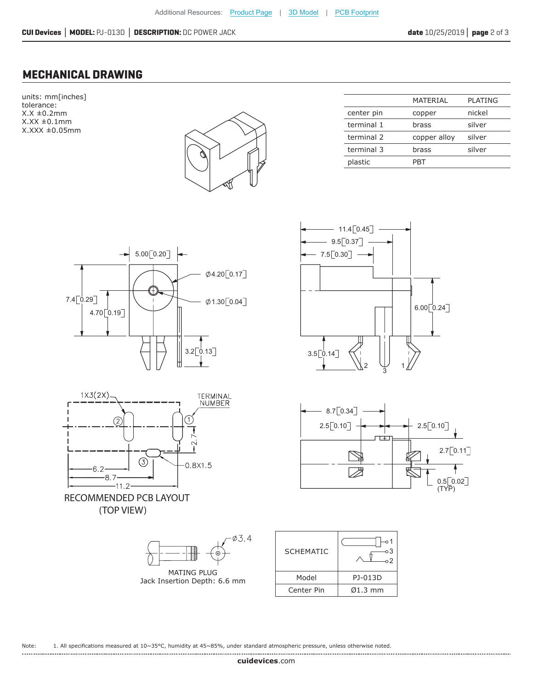#### **MECHANICAL DRAWING**

units: mm[inches] tolerance:  $X.X \pm 0.2mm$  $X.XX \pm 0.1$ mm X.XXX ±0.05mm



|            | MATFRIAI     | <b>PLATING</b> |
|------------|--------------|----------------|
| center pin | copper       | nickel         |
| terminal 1 | brass        | silver         |
| terminal 2 | copper alloy | silver         |
| terminal 3 | brass        | silver         |
| plastic    | PRT          |                |
|            |              |                |











| <b>SCHEMATIC</b> | о3<br>$^{\circ}2$    |
|------------------|----------------------|
| Model            | PJ-013D              |
| Center Pin       | $\varnothing$ 1.3 mm |

Note: 1. All specifications measured at 10~35°C, humidity at 45~85%, under standard atmospheric pressure, unless otherwise noted.